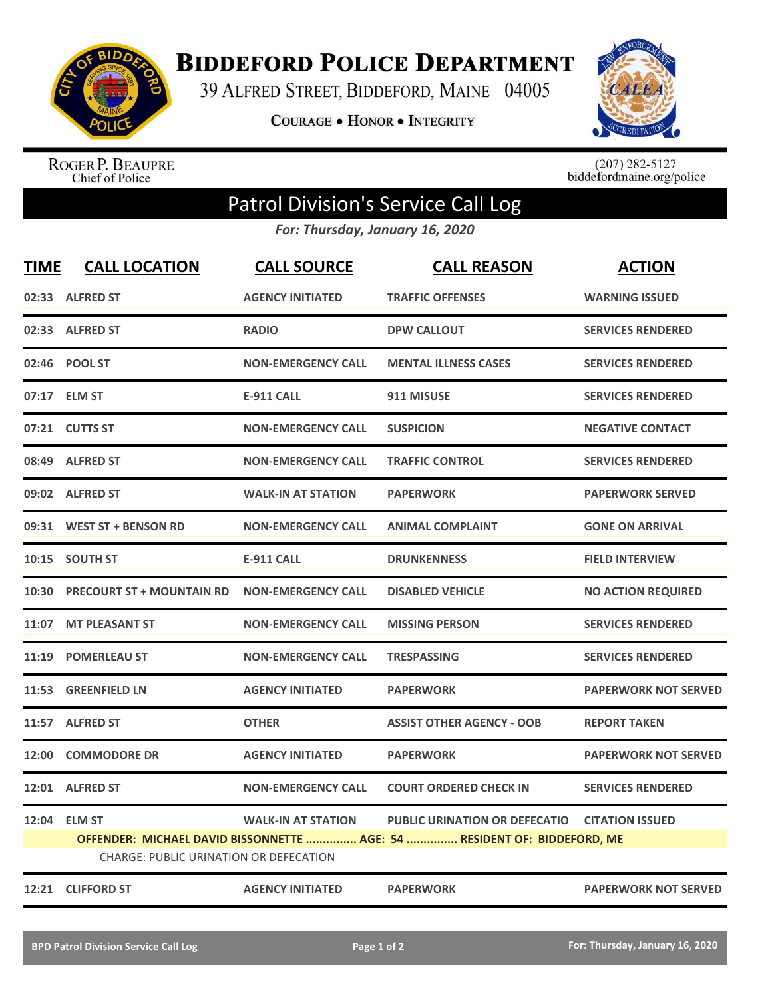

**BIDDEFORD POLICE DEPARTMENT** 

39 ALFRED STREET, BIDDEFORD, MAINE 04005

**COURAGE . HONOR . INTEGRITY** 



ROGER P. BEAUPRE<br>Chief of Police

 $(207)$  282-5127<br>biddefordmaine.org/police

## Patrol Division's Service Call Log

*For: Thursday, January 16, 2020*

| <b>TIME</b> | <b>CALL LOCATION</b>                                          | <b>CALL SOURCE</b>        | <b>CALL REASON</b>                                                                                                        | <b>ACTION</b>               |
|-------------|---------------------------------------------------------------|---------------------------|---------------------------------------------------------------------------------------------------------------------------|-----------------------------|
|             | 02:33 ALFRED ST                                               | <b>AGENCY INITIATED</b>   | <b>TRAFFIC OFFENSES</b>                                                                                                   | <b>WARNING ISSUED</b>       |
|             | 02:33 ALFRED ST                                               | <b>RADIO</b>              | <b>DPW CALLOUT</b>                                                                                                        | <b>SERVICES RENDERED</b>    |
|             | 02:46 POOL ST                                                 | <b>NON-EMERGENCY CALL</b> | <b>MENTAL ILLNESS CASES</b>                                                                                               | <b>SERVICES RENDERED</b>    |
|             | 07:17 ELM ST                                                  | <b>E-911 CALL</b>         | 911 MISUSE                                                                                                                | <b>SERVICES RENDERED</b>    |
|             | 07:21 CUTTS ST                                                | <b>NON-EMERGENCY CALL</b> | <b>SUSPICION</b>                                                                                                          | <b>NEGATIVE CONTACT</b>     |
|             | 08:49 ALFRED ST                                               | <b>NON-EMERGENCY CALL</b> | <b>TRAFFIC CONTROL</b>                                                                                                    | <b>SERVICES RENDERED</b>    |
|             | 09:02 ALFRED ST                                               | <b>WALK-IN AT STATION</b> | <b>PAPERWORK</b>                                                                                                          | <b>PAPERWORK SERVED</b>     |
|             | 09:31 WEST ST + BENSON RD                                     | <b>NON-EMERGENCY CALL</b> | <b>ANIMAL COMPLAINT</b>                                                                                                   | <b>GONE ON ARRIVAL</b>      |
|             | 10:15 SOUTH ST                                                | <b>E-911 CALL</b>         | <b>DRUNKENNESS</b>                                                                                                        | <b>FIELD INTERVIEW</b>      |
|             | 10:30 PRECOURT ST + MOUNTAIN RD                               | <b>NON-EMERGENCY CALL</b> | <b>DISABLED VEHICLE</b>                                                                                                   | <b>NO ACTION REQUIRED</b>   |
| 11:07       | <b>MT PLEASANT ST</b>                                         | <b>NON-EMERGENCY CALL</b> | <b>MISSING PERSON</b>                                                                                                     | <b>SERVICES RENDERED</b>    |
|             | 11:19 POMERLEAU ST                                            | <b>NON-EMERGENCY CALL</b> | <b>TRESPASSING</b>                                                                                                        | <b>SERVICES RENDERED</b>    |
|             | 11:53 GREENFIELD LN                                           | <b>AGENCY INITIATED</b>   | <b>PAPERWORK</b>                                                                                                          | <b>PAPERWORK NOT SERVED</b> |
|             | 11:57 ALFRED ST                                               | <b>OTHER</b>              | <b>ASSIST OTHER AGENCY - OOB</b>                                                                                          | <b>REPORT TAKEN</b>         |
|             | 12:00 COMMODORE DR                                            | <b>AGENCY INITIATED</b>   | <b>PAPERWORK</b>                                                                                                          | <b>PAPERWORK NOT SERVED</b> |
| 12:01       | <b>ALFRED ST</b>                                              | <b>NON-EMERGENCY CALL</b> | <b>COURT ORDERED CHECK IN</b>                                                                                             | <b>SERVICES RENDERED</b>    |
|             | 12:04 ELM ST<br><b>CHARGE: PUBLIC URINATION OR DEFECATION</b> | <b>WALK-IN AT STATION</b> | PUBLIC URINATION OR DEFECATIO CITATION ISSUED<br>OFFENDER: MICHAEL DAVID BISSONNETTE  AGE: 54  RESIDENT OF: BIDDEFORD, ME |                             |
|             | 12:21 CLIFFORD ST                                             | <b>AGENCY INITIATED</b>   | <b>PAPERWORK</b>                                                                                                          | <b>PAPERWORK NOT SERVED</b> |